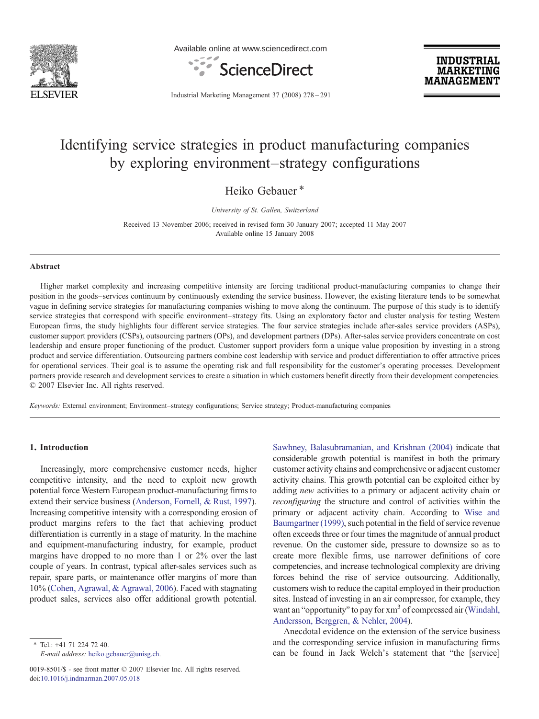

Available online at www.sciencedirect.com



**INDUSTRIAL MARKETING MANAGEMENT** 

Industrial Marketing Management 37 (2008) 278–291

# Identifying service strategies in product manufacturing companies by exploring environment–strategy configurations

Heiko Gebauer\*

University of St. Gallen, Switzerland

Received 13 November 2006; received in revised form 30 January 2007; accepted 11 May 2007 Available online 15 January 2008

#### Abstract

Higher market complexity and increasing competitive intensity are forcing traditional product-manufacturing companies to change their position in the goods–services continuum by continuously extending the service business. However, the existing literature tends to be somewhat vague in defining service strategies for manufacturing companies wishing to move along the continuum. The purpose of this study is to identify service strategies that correspond with specific environment–strategy fits. Using an exploratory factor and cluster analysis for testing Western European firms, the study highlights four different service strategies. The four service strategies include after-sales service providers (ASPs), customer support providers (CSPs), outsourcing partners (OPs), and development partners (DPs). After-sales service providers concentrate on cost leadership and ensure proper functioning of the product. Customer support providers form a unique value proposition by investing in a strong product and service differentiation. Outsourcing partners combine cost leadership with service and product differentiation to offer attractive prices for operational services. Their goal is to assume the operating risk and full responsibility for the customer's operating processes. Development partners provide research and development services to create a situation in which customers benefit directly from their development competencies. © 2007 Elsevier Inc. All rights reserved.

Keywords: External environment; Environment–strategy configurations; Service strategy; Product-manufacturing companies

### 1. Introduction

Increasingly, more comprehensive customer needs, higher competitive intensity, and the need to exploit new growth potential force Western European product-manufacturing firms to extend their service business ([Anderson, Fornell, & Rust, 1997](#page--1-0)). Increasing competitive intensity with a corresponding erosion of product margins refers to the fact that achieving product differentiation is currently in a stage of maturity. In the machine and equipment-manufacturing industry, for example, product margins have dropped to no more than 1 or 2% over the last couple of years. In contrast, typical after-sales services such as repair, spare parts, or maintenance offer margins of more than 10% [\(Cohen, Agrawal, & Agrawal, 2006](#page--1-0)). Faced with stagnating product sales, services also offer additional growth potential.

⁎ Tel.: +41 71 224 72 40. E-mail address: [heiko.gebauer@unisg.ch](mailto:heiko.gebauer@unisg.ch). [Sawhney, Balasubramanian, and Krishnan \(2004\)](#page--1-0) indicate that considerable growth potential is manifest in both the primary customer activity chains and comprehensive or adjacent customer activity chains. This growth potential can be exploited either by adding *new* activities to a primary or adjacent activity chain or reconfiguring the structure and control of activities within the primary or adjacent activity chain. According to [Wise and](#page--1-0) [Baumgartner \(1999\)](#page--1-0), such potential in the field of service revenue often exceeds three or four times the magnitude of annual product revenue. On the customer side, pressure to downsize so as to create more flexible firms, use narrower definitions of core competencies, and increase technological complexity are driving forces behind the rise of service outsourcing. Additionally, customers wish to reduce the capital employed in their production sites. Instead of investing in an air compressor, for example, they want an "opportunity" to pay for xm<sup>3</sup> of compressed air [\(Windahl,](#page--1-0) [Andersson, Berggren, & Nehler, 2004](#page--1-0)).

Anecdotal evidence on the extension of the service business and the corresponding service infusion in manufacturing firms can be found in Jack Welch's statement that "the [service]

<sup>0019-8501/\$ -</sup> see front matter © 2007 Elsevier Inc. All rights reserved. doi:[10.1016/j.indmarman.2007.05.018](http://dx.doi.org/10.1016/j.indmarman.2007.05.018)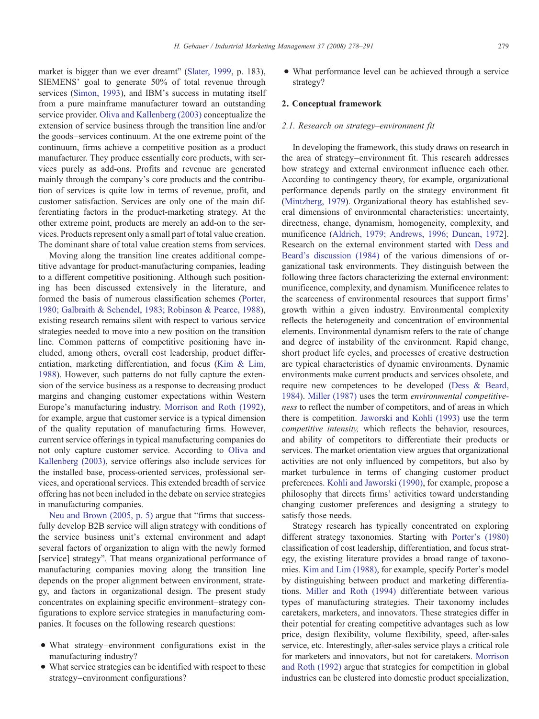market is bigger than we ever dreamt" [\(Slater, 1999,](#page--1-0) p. 183), SIEMENS' goal to generate 50% of total revenue through services [\(Simon, 1993](#page--1-0)), and IBM's success in mutating itself from a pure mainframe manufacturer toward an outstanding service provider. [Oliva and Kallenberg \(2003\)](#page--1-0) conceptualize the extension of service business through the transition line and/or the goods–services continuum. At the one extreme point of the continuum, firms achieve a competitive position as a product manufacturer. They produce essentially core products, with services purely as add-ons. Profits and revenue are generated mainly through the company's core products and the contribution of services is quite low in terms of revenue, profit, and customer satisfaction. Services are only one of the main differentiating factors in the product-marketing strategy. At the other extreme point, products are merely an add-on to the services. Products represent only a small part of total value creation. The dominant share of total value creation stems from services.

Moving along the transition line creates additional competitive advantage for product-manufacturing companies, leading to a different competitive positioning. Although such positioning has been discussed extensively in the literature, and formed the basis of numerous classification schemes [\(Porter,](#page--1-0) [1980; Galbraith & Schendel, 1983; Robinson & Pearce, 1988\)](#page--1-0), existing research remains silent with respect to various service strategies needed to move into a new position on the transition line. Common patterns of competitive positioning have included, among others, overall cost leadership, product differentiation, marketing differentiation, and focus [\(Kim & Lim,](#page--1-0) [1988](#page--1-0)). However, such patterns do not fully capture the extension of the service business as a response to decreasing product margins and changing customer expectations within Western Europe's manufacturing industry. [Morrison and Roth \(1992\)](#page--1-0), for example, argue that customer service is a typical dimension of the quality reputation of manufacturing firms. However, current service offerings in typical manufacturing companies do not only capture customer service. According to [Oliva and](#page--1-0) [Kallenberg \(2003\),](#page--1-0) service offerings also include services for the installed base, process-oriented services, professional services, and operational services. This extended breadth of service offering has not been included in the debate on service strategies in manufacturing companies.

[Neu and Brown \(2005, p. 5\)](#page--1-0) argue that "firms that successfully develop B2B service will align strategy with conditions of the service business unit's external environment and adapt several factors of organization to align with the newly formed [service] strategy". That means organizational performance of manufacturing companies moving along the transition line depends on the proper alignment between environment, strategy, and factors in organizational design. The present study concentrates on explaining specific environment–strategy configurations to explore service strategies in manufacturing companies. It focuses on the following research questions:

- What strategy–environment configurations exist in the manufacturing industry?
- What service strategies can be identified with respect to these strategy–environment configurations?

• What performance level can be achieved through a service strategy?

## 2. Conceptual framework

### 2.1. Research on strategy–environment fit

In developing the framework, this study draws on research in the area of strategy–environment fit. This research addresses how strategy and external environment influence each other. According to contingency theory, for example, organizational performance depends partly on the strategy–environment fit ([Mintzberg, 1979\)](#page--1-0). Organizational theory has established several dimensions of environmental characteristics: uncertainty, directness, change, dynamism, homogeneity, complexity, and munificence [\(Aldrich, 1979; Andrews, 1996; Duncan, 1972\]](#page--1-0). Research on the external environment started with [Dess and](#page--1-0) [Beard's discussion \(1984\)](#page--1-0) of the various dimensions of organizational task environments. They distinguish between the following three factors characterizing the external environment: munificence, complexity, and dynamism. Munificence relates to the scarceness of environmental resources that support firms' growth within a given industry. Environmental complexity reflects the heterogeneity and concentration of environmental elements. Environmental dynamism refers to the rate of change and degree of instability of the environment. Rapid change, short product life cycles, and processes of creative destruction are typical characteristics of dynamic environments. Dynamic environments make current products and services obsolete, and require new competences to be developed [\(Dess & Beard,](#page--1-0) [1984](#page--1-0)). [Miller \(1987\)](#page--1-0) uses the term environmental competitiveness to reflect the number of competitors, and of areas in which there is competition. [Jaworski and Kohli \(1993\)](#page--1-0) use the term competitive intensity, which reflects the behavior, resources, and ability of competitors to differentiate their products or services. The market orientation view argues that organizational activities are not only influenced by competitors, but also by market turbulence in terms of changing customer product preferences. [Kohli and Jaworski \(1990\)](#page--1-0), for example, propose a philosophy that directs firms' activities toward understanding changing customer preferences and designing a strategy to satisfy those needs.

Strategy research has typically concentrated on exploring different strategy taxonomies. Starting with [Porter's \(1980\)](#page--1-0) classification of cost leadership, differentiation, and focus strategy, the existing literature provides a broad range of taxonomies. [Kim and Lim \(1988\),](#page--1-0) for example, specify Porter's model by distinguishing between product and marketing differentiations. [Miller and Roth \(1994\)](#page--1-0) differentiate between various types of manufacturing strategies. Their taxonomy includes caretakers, marketers, and innovators. These strategies differ in their potential for creating competitive advantages such as low price, design flexibility, volume flexibility, speed, after-sales service, etc. Interestingly, after-sales service plays a critical role for marketers and innovators, but not for caretakers. [Morrison](#page--1-0) [and Roth \(1992\)](#page--1-0) argue that strategies for competition in global industries can be clustered into domestic product specialization,